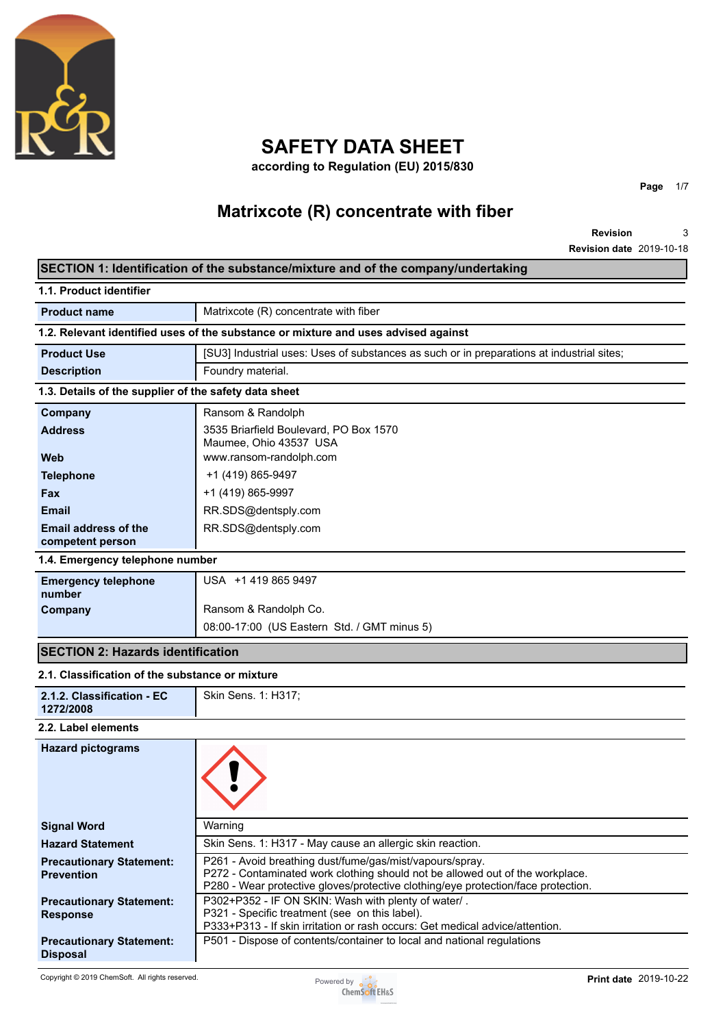

# **SAFETY DATA SHEET**

**according to Regulation (EU) 2015/830**

# **Matrixcote (R) concentrate with fiber**

**Revision Revision date** 2019-10-18 3

**Page** 1/7

| SECTION 1: Identification of the substance/mixture and of the company/undertaking  |                                                                                                                                                                                                                                |  |  |  |
|------------------------------------------------------------------------------------|--------------------------------------------------------------------------------------------------------------------------------------------------------------------------------------------------------------------------------|--|--|--|
| 1.1. Product identifier                                                            |                                                                                                                                                                                                                                |  |  |  |
| <b>Product name</b>                                                                | Matrixcote (R) concentrate with fiber                                                                                                                                                                                          |  |  |  |
| 1.2. Relevant identified uses of the substance or mixture and uses advised against |                                                                                                                                                                                                                                |  |  |  |
| <b>Product Use</b>                                                                 | [SU3] Industrial uses: Uses of substances as such or in preparations at industrial sites;                                                                                                                                      |  |  |  |
| <b>Description</b>                                                                 | Foundry material.                                                                                                                                                                                                              |  |  |  |
| 1.3. Details of the supplier of the safety data sheet                              |                                                                                                                                                                                                                                |  |  |  |
| Company                                                                            | Ransom & Randolph                                                                                                                                                                                                              |  |  |  |
| <b>Address</b>                                                                     | 3535 Briarfield Boulevard, PO Box 1570<br>Maumee, Ohio 43537 USA                                                                                                                                                               |  |  |  |
| Web                                                                                | www.ransom-randolph.com                                                                                                                                                                                                        |  |  |  |
| <b>Telephone</b>                                                                   | +1 (419) 865-9497                                                                                                                                                                                                              |  |  |  |
| <b>Fax</b>                                                                         | +1 (419) 865-9997                                                                                                                                                                                                              |  |  |  |
| <b>Email</b>                                                                       | RR.SDS@dentsply.com                                                                                                                                                                                                            |  |  |  |
| <b>Email address of the</b><br>competent person                                    | RR.SDS@dentsply.com                                                                                                                                                                                                            |  |  |  |
| 1.4. Emergency telephone number                                                    |                                                                                                                                                                                                                                |  |  |  |
| <b>Emergency telephone</b><br>number                                               | USA +1 419 865 9497                                                                                                                                                                                                            |  |  |  |
| Company                                                                            | Ransom & Randolph Co.                                                                                                                                                                                                          |  |  |  |
|                                                                                    | 08:00-17:00 (US Eastern Std. / GMT minus 5)                                                                                                                                                                                    |  |  |  |
| <b>SECTION 2: Hazards identification</b>                                           |                                                                                                                                                                                                                                |  |  |  |
| 2.1. Classification of the substance or mixture                                    |                                                                                                                                                                                                                                |  |  |  |
| 2.1.2. Classification - EC<br>1272/2008                                            | Skin Sens. 1: H317;                                                                                                                                                                                                            |  |  |  |
| 2.2. Label elements                                                                |                                                                                                                                                                                                                                |  |  |  |
| <b>Hazard pictograms</b>                                                           |                                                                                                                                                                                                                                |  |  |  |
| <b>Signal Word</b>                                                                 | Warning                                                                                                                                                                                                                        |  |  |  |
| <b>Hazard Statement</b>                                                            | Skin Sens. 1: H317 - May cause an allergic skin reaction.                                                                                                                                                                      |  |  |  |
| <b>Precautionary Statement:</b><br><b>Prevention</b>                               | P261 - Avoid breathing dust/fume/gas/mist/vapours/spray.<br>P272 - Contaminated work clothing should not be allowed out of the workplace.<br>P280 - Wear protective gloves/protective clothing/eye protection/face protection. |  |  |  |
| <b>Precautionary Statement:</b><br><b>Response</b>                                 | P302+P352 - IF ON SKIN: Wash with plenty of water/.<br>P321 - Specific treatment (see on this label).<br>P333+P313 - If skin irritation or rash occurs: Get medical advice/attention.                                          |  |  |  |
| <b>Precautionary Statement:</b><br><b>Disposal</b>                                 | P501 - Dispose of contents/container to local and national regulations                                                                                                                                                         |  |  |  |

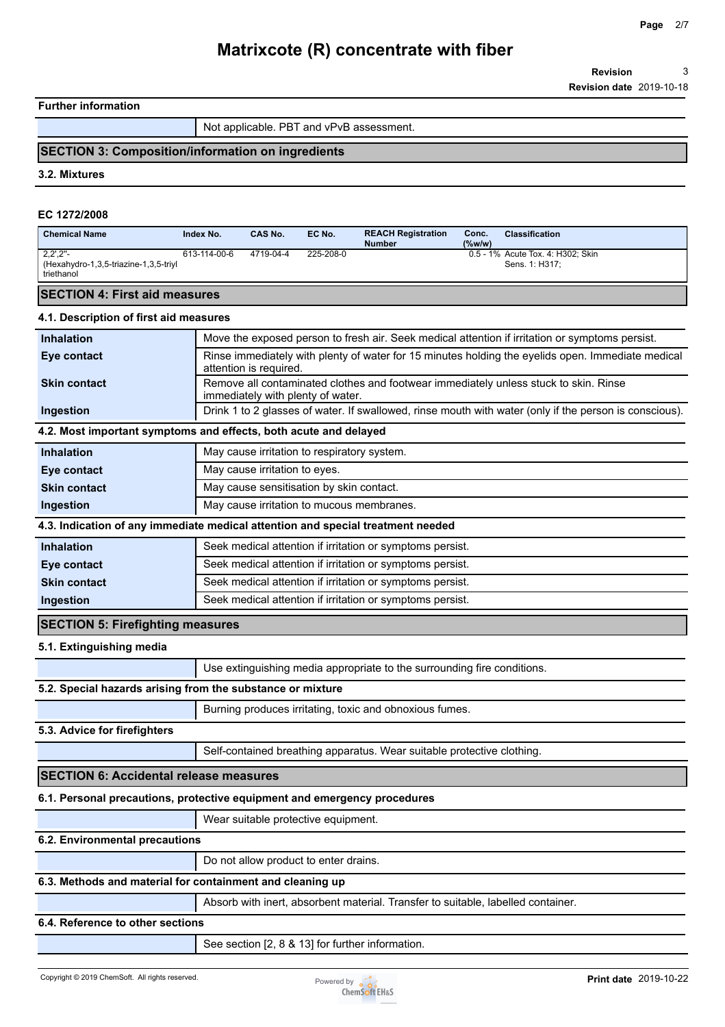### **Further information**

Not applicable. PBT and vPvB assessment.

## **SECTION 3: Composition/information on ingredients**

**3.2. Mixtures**

#### **EC 1272/2008**

| <b>Chemical Name</b>                                                                     | Index No.    | CAS No.                                     | EC No.    | <b>REACH Registration</b><br><b>Number</b>                                       | Conc.<br>(%w/w) | <b>Classification</b>                                                                                  |
|------------------------------------------------------------------------------------------|--------------|---------------------------------------------|-----------|----------------------------------------------------------------------------------|-----------------|--------------------------------------------------------------------------------------------------------|
| $2,2^{\prime},2^{\prime\prime}$ -<br>(Hexahydro-1,3,5-triazine-1,3,5-triyl<br>triethanol | 613-114-00-6 | 4719-04-4                                   | 225-208-0 |                                                                                  |                 | 0.5 - 1% Acute Tox. 4: H302; Skin<br>Sens. 1: H317;                                                    |
| <b>SECTION 4: First aid measures</b>                                                     |              |                                             |           |                                                                                  |                 |                                                                                                        |
| 4.1. Description of first aid measures                                                   |              |                                             |           |                                                                                  |                 |                                                                                                        |
| <b>Inhalation</b>                                                                        |              |                                             |           |                                                                                  |                 | Move the exposed person to fresh air. Seek medical attention if irritation or symptoms persist.        |
| Eye contact                                                                              |              | attention is required.                      |           |                                                                                  |                 | Rinse immediately with plenty of water for 15 minutes holding the eyelids open. Immediate medical      |
| <b>Skin contact</b>                                                                      |              | immediately with plenty of water.           |           |                                                                                  |                 | Remove all contaminated clothes and footwear immediately unless stuck to skin. Rinse                   |
| Ingestion                                                                                |              |                                             |           |                                                                                  |                 | Drink 1 to 2 glasses of water. If swallowed, rinse mouth with water (only if the person is conscious). |
| 4.2. Most important symptoms and effects, both acute and delayed                         |              |                                             |           |                                                                                  |                 |                                                                                                        |
| <b>Inhalation</b>                                                                        |              | May cause irritation to respiratory system. |           |                                                                                  |                 |                                                                                                        |
| Eye contact                                                                              |              | May cause irritation to eyes.               |           |                                                                                  |                 |                                                                                                        |
| <b>Skin contact</b>                                                                      |              | May cause sensitisation by skin contact.    |           |                                                                                  |                 |                                                                                                        |
| Ingestion                                                                                |              |                                             |           | May cause irritation to mucous membranes.                                        |                 |                                                                                                        |
| 4.3. Indication of any immediate medical attention and special treatment needed          |              |                                             |           |                                                                                  |                 |                                                                                                        |
| <b>Inhalation</b>                                                                        |              |                                             |           | Seek medical attention if irritation or symptoms persist.                        |                 |                                                                                                        |
| Eye contact                                                                              |              |                                             |           | Seek medical attention if irritation or symptoms persist.                        |                 |                                                                                                        |
| <b>Skin contact</b>                                                                      |              |                                             |           | Seek medical attention if irritation or symptoms persist.                        |                 |                                                                                                        |
| Ingestion                                                                                |              |                                             |           | Seek medical attention if irritation or symptoms persist.                        |                 |                                                                                                        |
| <b>SECTION 5: Firefighting measures</b>                                                  |              |                                             |           |                                                                                  |                 |                                                                                                        |
| 5.1. Extinguishing media                                                                 |              |                                             |           |                                                                                  |                 |                                                                                                        |
|                                                                                          |              |                                             |           | Use extinguishing media appropriate to the surrounding fire conditions.          |                 |                                                                                                        |
| 5.2. Special hazards arising from the substance or mixture                               |              |                                             |           |                                                                                  |                 |                                                                                                        |
|                                                                                          |              |                                             |           | Burning produces irritating, toxic and obnoxious fumes.                          |                 |                                                                                                        |
| 5.3. Advice for firefighters                                                             |              |                                             |           |                                                                                  |                 |                                                                                                        |
|                                                                                          |              |                                             |           | Self-contained breathing apparatus. Wear suitable protective clothing.           |                 |                                                                                                        |
| <b>SECTION 6: Accidental release measures</b>                                            |              |                                             |           |                                                                                  |                 |                                                                                                        |
| 6.1. Personal precautions, protective equipment and emergency procedures                 |              |                                             |           |                                                                                  |                 |                                                                                                        |
|                                                                                          |              | Wear suitable protective equipment.         |           |                                                                                  |                 |                                                                                                        |
| 6.2. Environmental precautions                                                           |              |                                             |           |                                                                                  |                 |                                                                                                        |
|                                                                                          |              | Do not allow product to enter drains.       |           |                                                                                  |                 |                                                                                                        |
| 6.3. Methods and material for containment and cleaning up                                |              |                                             |           |                                                                                  |                 |                                                                                                        |
|                                                                                          |              |                                             |           | Absorb with inert, absorbent material. Transfer to suitable, labelled container. |                 |                                                                                                        |
| 6.4. Reference to other sections                                                         |              |                                             |           |                                                                                  |                 |                                                                                                        |
|                                                                                          |              |                                             |           | See section [2, 8 & 13] for further information.                                 |                 |                                                                                                        |

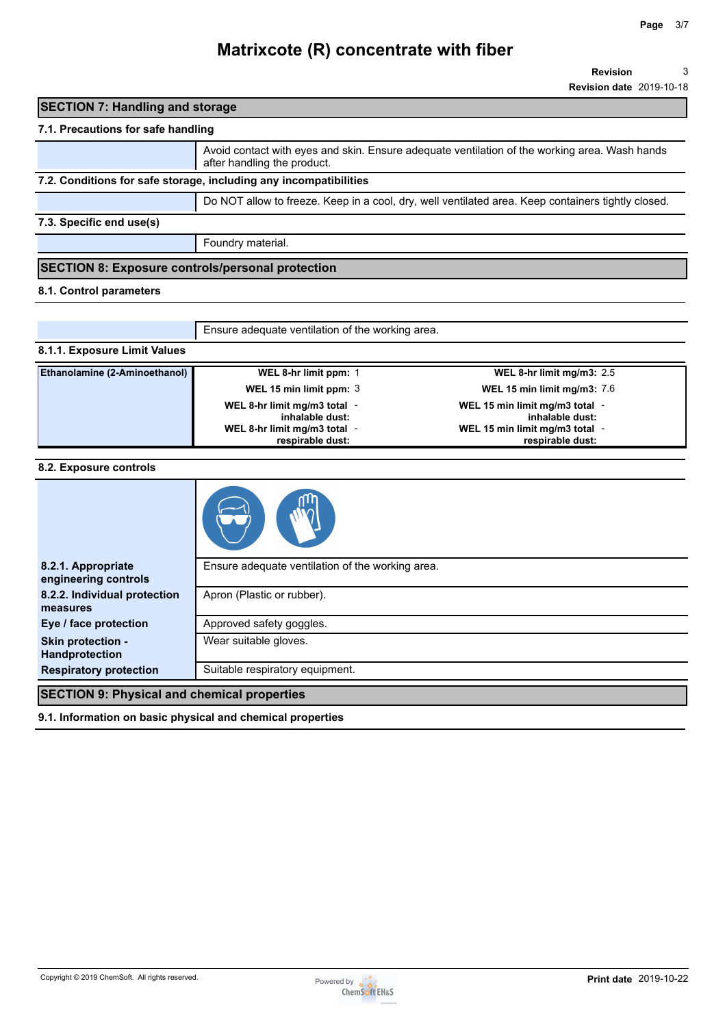**Revision** 3

**Revision date** 2019-10-18

## **SECTION 7: Handling and storage**

## **7.1. Precautions for safe handling**

|                                                                   | Avoid contact with eyes and skin. Ensure adequate ventilation of the working area. Wash hands<br>after handling the product. |  |
|-------------------------------------------------------------------|------------------------------------------------------------------------------------------------------------------------------|--|
| 7.2. Conditions for safe storage, including any incompatibilities |                                                                                                                              |  |
|                                                                   | Do NOT allow to freeze. Keep in a cool, dry, well ventilated area. Keep containers tightly closed.                           |  |
| 7.3. Specific end use(s)                                          |                                                                                                                              |  |
|                                                                   | Foundry material.                                                                                                            |  |
| <b>SECTION 8: Exposure controls/personal protection</b>           |                                                                                                                              |  |

### **8.1. Control parameters**

Ensure adequate ventilation of the working area.

### **8.1.1. Exposure Limit Values**

| Ethanolamine (2-Aminoethanol) | WEL 8-hr limit ppm: 1                           | WEL 8-hr limit mg/m3: $2.5$                       |
|-------------------------------|-------------------------------------------------|---------------------------------------------------|
|                               | WEL 15 min limit ppm: 3                         | WEL 15 min limit mg/m3: $7.6$                     |
|                               | WEL 8-hr limit mg/m3 total -<br>inhalable dust: | WEL 15 min limit mg/m3 total -<br>inhalable dust: |
|                               | WEL 8-hr limit mg/m3 total -                    | WEL 15 min limit mg/m3 total -                    |
|                               | respirable dust:                                | respirable dust:                                  |

### **8.2. Exposure controls**

| 8.2.1. Appropriate<br>engineering controls         | Ensure adequate ventilation of the working area. |
|----------------------------------------------------|--------------------------------------------------|
| 8.2.2. Individual protection<br>measures           | Apron (Plastic or rubber).                       |
| Eye / face protection                              | Approved safety goggles.                         |
| Skin protection -<br>Handprotection                | Wear suitable gloves.                            |
| <b>Respiratory protection</b>                      | Suitable respiratory equipment.                  |
| <b>SECTION 9: Physical and chemical properties</b> |                                                  |

**9.1. Information on basic physical and chemical properties**

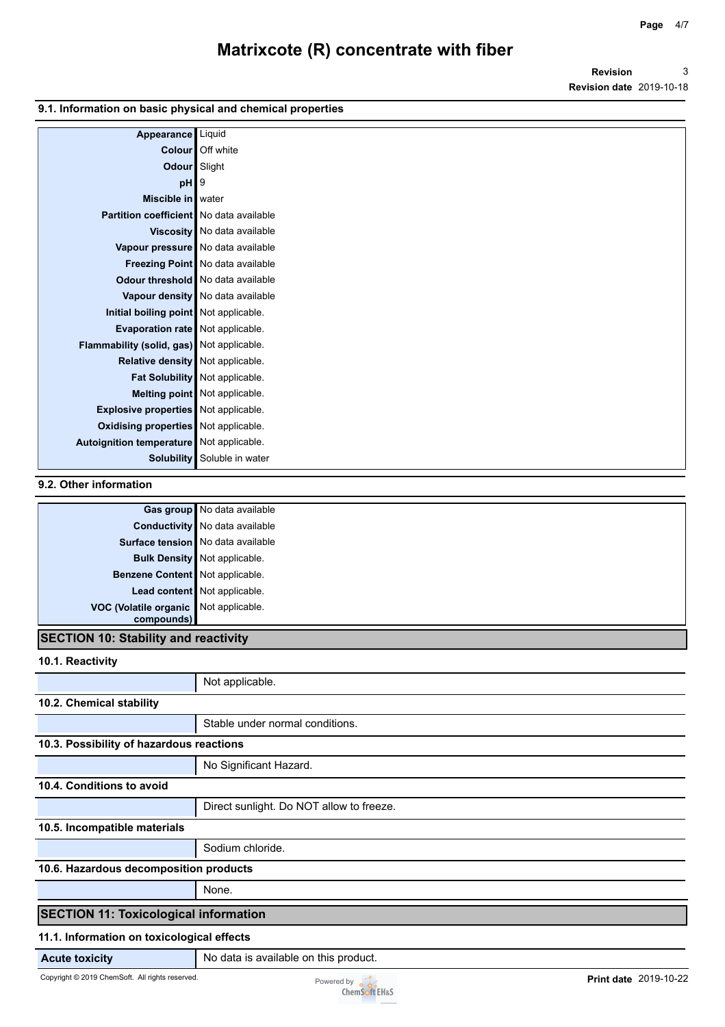**Revision Revision date** 2019-10-18 3

#### **9.1. Information on basic physical and chemical properties**

| Appearance                                  | Liquid                              |
|---------------------------------------------|-------------------------------------|
| <b>Colour</b>                               | Off white                           |
| Odour Slight                                |                                     |
| $pH$  9                                     |                                     |
| Miscible in   water                         |                                     |
| Partition coefficient   No data available   |                                     |
|                                             | Viscosity   No data available       |
|                                             | Vapour pressure   No data available |
|                                             | Freezing Point No data available    |
|                                             | Odour threshold   No data available |
|                                             | Vapour density   No data available  |
| Initial boiling point Not applicable.       |                                     |
| Evaporation rate Not applicable.            |                                     |
| Flammability (solid, gas) Not applicable.   |                                     |
| Relative density Not applicable.            |                                     |
|                                             | Fat Solubility Not applicable.      |
|                                             | Melting point Not applicable.       |
| <b>Explosive properties</b> Not applicable. |                                     |
| Oxidising properties Not applicable.        |                                     |
| Autoignition temperature Not applicable.    |                                     |
| Solubility                                  | Soluble in water                    |

### **9.2. Other information**

|                                       | Gas group No data available           |
|---------------------------------------|---------------------------------------|
|                                       | <b>Conductivity</b> No data available |
|                                       | Surface tension No data available     |
|                                       | <b>Bulk Density</b> Not applicable.   |
| Benzene Content Not applicable.       |                                       |
|                                       | Lead content Not applicable.          |
| VOC (Volatile organic Not applicable. |                                       |
| compounds)                            |                                       |

## **SECTION 10: Stability and reactivity**

**10.1. Reactivity**

|                                              | Not applicable.                          |  |
|----------------------------------------------|------------------------------------------|--|
| 10.2. Chemical stability                     |                                          |  |
|                                              | Stable under normal conditions.          |  |
| 10.3. Possibility of hazardous reactions     |                                          |  |
|                                              | No Significant Hazard.                   |  |
| 10.4. Conditions to avoid                    |                                          |  |
|                                              | Direct sunlight. Do NOT allow to freeze. |  |
| 10.5. Incompatible materials                 |                                          |  |
|                                              | Sodium chloride.                         |  |
| 10.6. Hazardous decomposition products       |                                          |  |
|                                              | None.                                    |  |
| <b>SECTION 11: Toxicological information</b> |                                          |  |
| 44 4 Julesmentian an teulastaniasta flante   |                                          |  |

#### **11.1. Information on toxicological effects**

**Acute toxicity** No data is available on this product.

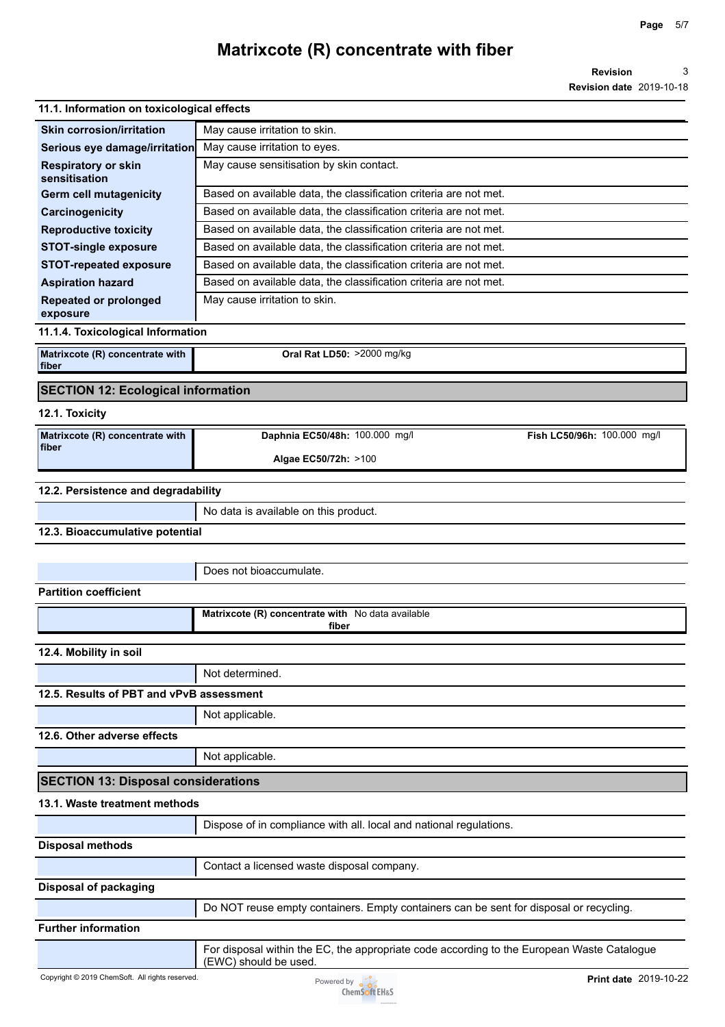**Revision Revision date** 2019-10-18 3

## **11.1. Information on toxicological effects**

| <b>TI.I. INTOINTANON ON WARDOLOGICAL CHECKS</b> |                                                                   |  |  |
|-------------------------------------------------|-------------------------------------------------------------------|--|--|
| <b>Skin corrosion/irritation</b>                | May cause irritation to skin.                                     |  |  |
| Serious eye damage/irritation                   | May cause irritation to eyes.                                     |  |  |
| <b>Respiratory or skin</b><br>sensitisation     | May cause sensitisation by skin contact.                          |  |  |
| <b>Germ cell mutagenicity</b>                   | Based on available data, the classification criteria are not met. |  |  |
| Carcinogenicity                                 | Based on available data, the classification criteria are not met. |  |  |
| <b>Reproductive toxicity</b>                    | Based on available data, the classification criteria are not met. |  |  |
| <b>STOT-single exposure</b>                     | Based on available data, the classification criteria are not met. |  |  |
| <b>STOT-repeated exposure</b>                   | Based on available data, the classification criteria are not met. |  |  |
| <b>Aspiration hazard</b>                        | Based on available data, the classification criteria are not met. |  |  |
| <b>Repeated or prolonged</b><br>exposure        | May cause irritation to skin.                                     |  |  |
| 11.1.4. Toxicological Information               |                                                                   |  |  |
| Matrixcote (R) concentrate with<br>fiber        | <b>Oral Rat LD50: &gt;2000 mg/kg</b>                              |  |  |

## **SECTION 12: Ecological information**

#### **12.1. Toxicity**

| Matrixcote $(R)$ concentrate with $\blacksquare$ | Daphnia EC50/48h: 100.000 mg/l | Fish LC50/96h: 100.000 mg/l |
|--------------------------------------------------|--------------------------------|-----------------------------|
| fiber                                            | Algae EC50/72h: >100           |                             |

### **12.2. Persistence and degradability**

| $\overline{a}$ and $\overline{a}$ and $\overline{a}$ and $\overline{a}$ and $\overline{a}$ and $\overline{a}$ and $\overline{a}$ and $\overline{a}$ and $\overline{a}$ and $\overline{a}$ and $\overline{a}$ and $\overline{a}$ and $\overline{a}$ and $\overline{a}$ and $\overline{a}$ and $\overline{a}$ and $\overline{a}$ and |                                       |
|------------------------------------------------------------------------------------------------------------------------------------------------------------------------------------------------------------------------------------------------------------------------------------------------------------------------------------|---------------------------------------|
|                                                                                                                                                                                                                                                                                                                                    | No data is available on this product. |

**12.3. Bioaccumulative potential**

Does not bioaccumulate.

### **Partition coefficient**

|                        | Matrixcote (R) concentrate with No data available<br>fiber |
|------------------------|------------------------------------------------------------|
| 12.4. Mobility in soil |                                                            |
|                        | Not determined.                                            |

## **12.5. Results of PBT and vPvB assessment**

Not applicable.

**12.6. Other adverse effects**

Not applicable.

## **SECTION 13: Disposal considerations**

### **13.1. Waste treatment methods**

|                            | Dispose of in compliance with all. local and national regulations.                                                  |
|----------------------------|---------------------------------------------------------------------------------------------------------------------|
| <b>Disposal methods</b>    |                                                                                                                     |
|                            | Contact a licensed waste disposal company.                                                                          |
| Disposal of packaging      |                                                                                                                     |
|                            | Do NOT reuse empty containers. Empty containers can be sent for disposal or recycling.                              |
| <b>Further information</b> |                                                                                                                     |
|                            | For disposal within the EC, the appropriate code according to the European Waste Catalogue<br>(EWC) should be used. |

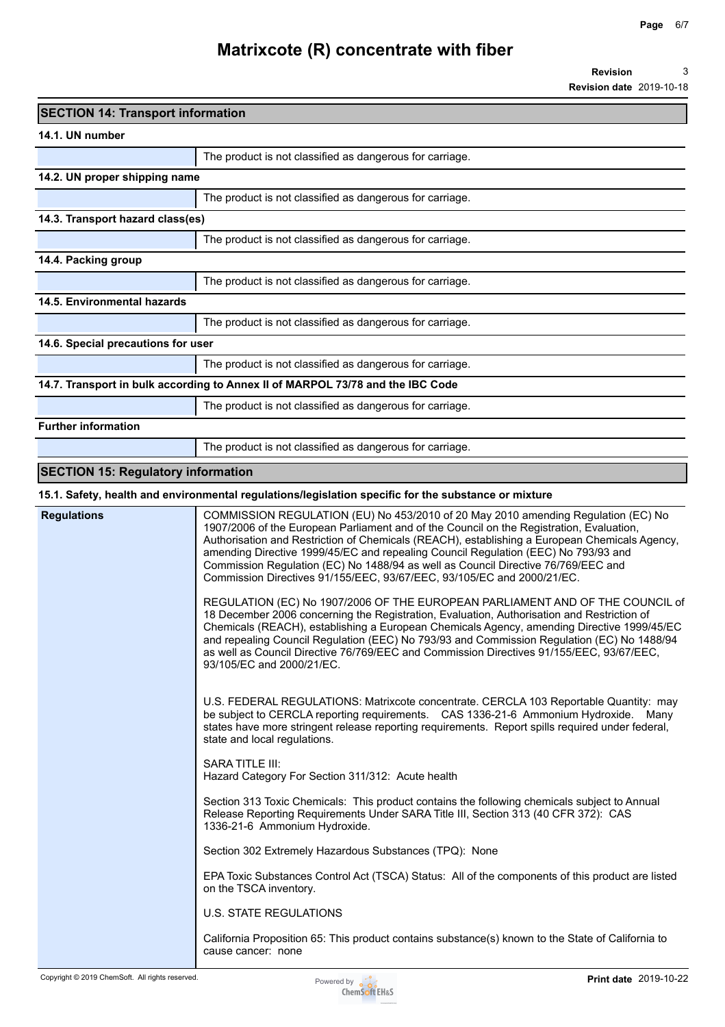